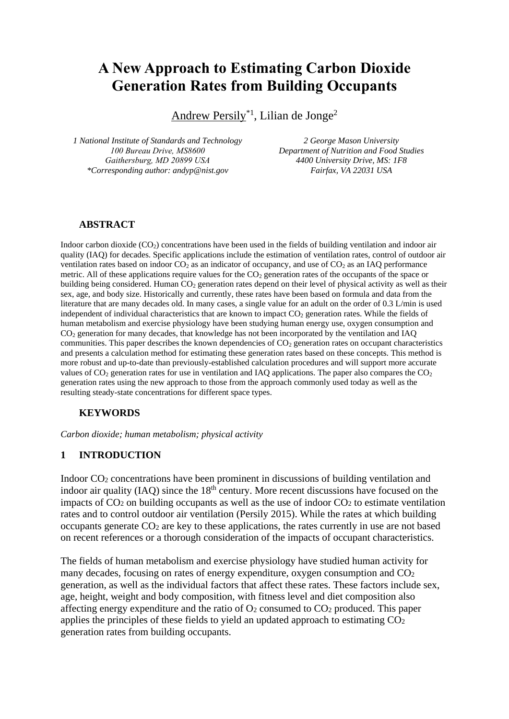# **A New Approach to Estimating Carbon Dioxide Generation Rates from Building Occupants**

Andrew Persily<sup>\*1</sup>, Lilian de Jonge<sup>2</sup>

*1 National Institute of Standards and Technology 100 Bureau Drive, MS8600 Gaithersburg, MD 20899 USA \*Corresponding author: andyp@nist.gov*

*2 George Mason University Department of Nutrition and Food Studies 4400 University Drive, MS: 1F8 Fairfax, VA 22031 USA*

### **ABSTRACT**

Indoor carbon dioxide  $(CO_2)$  concentrations have been used in the fields of building ventilation and indoor air quality (IAQ) for decades. Specific applications include the estimation of ventilation rates, control of outdoor air ventilation rates based on indoor  $CO_2$  as an indicator of occupancy, and use of  $CO_2$  as an IAQ performance metric. All of these applications require values for the CO<sub>2</sub> generation rates of the occupants of the space or building being considered. Human CO<sub>2</sub> generation rates depend on their level of physical activity as well as their sex, age, and body size. Historically and currently, these rates have been based on formula and data from the literature that are many decades old. In many cases, a single value for an adult on the order of 0.3 L/min is used independent of individual characteristics that are known to impact  $CO<sub>2</sub>$  generation rates. While the fields of human metabolism and exercise physiology have been studying human energy use, oxygen consumption and CO<sup>2</sup> generation for many decades, that knowledge has not been incorporated by the ventilation and IAQ communities. This paper describes the known dependencies of  $CO<sub>2</sub>$  generation rates on occupant characteristics and presents a calculation method for estimating these generation rates based on these concepts. This method is more robust and up-to-date than previously-established calculation procedures and will support more accurate values of  $CO<sub>2</sub>$  generation rates for use in ventilation and IAQ applications. The paper also compares the  $CO<sub>2</sub>$ generation rates using the new approach to those from the approach commonly used today as well as the resulting steady-state concentrations for different space types.

### **KEYWORDS**

*Carbon dioxide; human metabolism; physical activity*

## **1 INTRODUCTION**

Indoor CO<sup>2</sup> concentrations have been prominent in discussions of building ventilation and indoor air quality (IAQ) since the  $18<sup>th</sup>$  century. More recent discussions have focused on the impacts of  $CO<sub>2</sub>$  on building occupants as well as the use of indoor  $CO<sub>2</sub>$  to estimate ventilation rates and to control outdoor air ventilation (Persily 2015). While the rates at which building occupants generate  $CO<sub>2</sub>$  are key to these applications, the rates currently in use are not based on recent references or a thorough consideration of the impacts of occupant characteristics.

The fields of human metabolism and exercise physiology have studied human activity for many decades, focusing on rates of energy expenditure, oxygen consumption and CO<sup>2</sup> generation, as well as the individual factors that affect these rates. These factors include sex, age, height, weight and body composition, with fitness level and diet composition also affecting energy expenditure and the ratio of  $O_2$  consumed to  $CO_2$  produced. This paper applies the principles of these fields to yield an updated approach to estimating CO<sup>2</sup> generation rates from building occupants.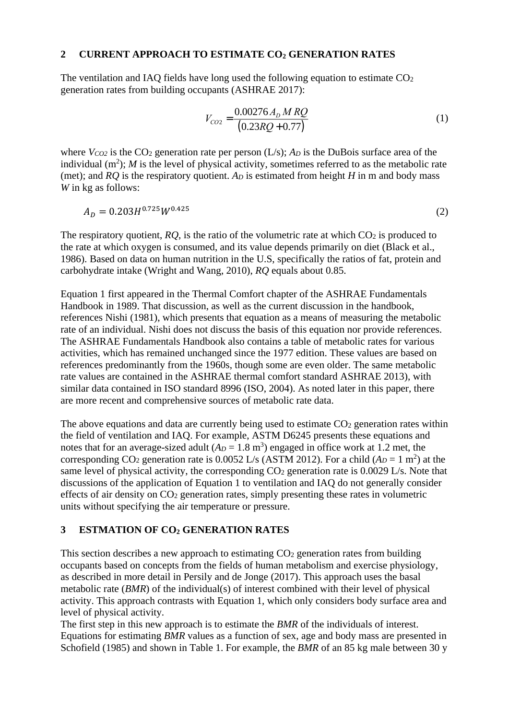### **2 CURRENT APPROACH TO ESTIMATE CO<sup>2</sup> GENERATION RATES**

The ventilation and IAQ fields have long used the following equation to estimate  $CO<sub>2</sub>$ generation rates from building occupants (ASHRAE 2017):

$$
V_{CO2} = \frac{0.00276 A_D M RQ}{(0.23 RQ + 0.77)}
$$
(1)

where *VCO2* is the CO<sub>2</sub> generation rate per person (L/s); *A<sub>D</sub>* is the DuBois surface area of the individual  $(m^2)$ ; *M* is the level of physical activity, sometimes referred to as the metabolic rate (met); and *RO* is the respiratory quotient. *A<sub>D</sub>* is estimated from height *H* in m and body mass *W* in kg as follows:

$$
A_D = 0.203H^{0.725}W^{0.425}
$$
 (2)

The respiratory quotient,  $RQ$ , is the ratio of the volumetric rate at which  $CO<sub>2</sub>$  is produced to the rate at which oxygen is consumed, and its value depends primarily on diet (Black et al., 1986). Based on data on human nutrition in the U.S, specifically the ratios of fat, protein and carbohydrate intake (Wright and Wang, 2010), *RQ* equals about 0.85.

Equation 1 first appeared in the Thermal Comfort chapter of the ASHRAE Fundamentals Handbook in 1989. That discussion, as well as the current discussion in the handbook, references Nishi (1981), which presents that equation as a means of measuring the metabolic rate of an individual. Nishi does not discuss the basis of this equation nor provide references. The ASHRAE Fundamentals Handbook also contains a table of metabolic rates for various activities, which has remained unchanged since the 1977 edition. These values are based on references predominantly from the 1960s, though some are even older. The same metabolic rate values are contained in the ASHRAE thermal comfort standard ASHRAE 2013), with similar data contained in ISO standard 8996 (ISO, 2004). As noted later in this paper, there are more recent and comprehensive sources of metabolic rate data.

The above equations and data are currently being used to estimate  $CO<sub>2</sub>$  generation rates within the field of ventilation and IAQ. For example, ASTM D6245 presents these equations and notes that for an average-sized adult  $(A_D = 1.8 \text{ m}^3)$  engaged in office work at 1.2 met, the corresponding CO<sub>2</sub> generation rate is 0.0052 L/s (ASTM 2012). For a child  $(A_D = 1 \text{ m}^2)$  at the same level of physical activity, the corresponding  $CO<sub>2</sub>$  generation rate is 0.0029 L/s. Note that discussions of the application of Equation 1 to ventilation and IAQ do not generally consider effects of air density on  $CO<sub>2</sub>$  generation rates, simply presenting these rates in volumetric units without specifying the air temperature or pressure.

## **3 ESTMATION OF CO<sup>2</sup> GENERATION RATES**

This section describes a new approach to estimating  $CO<sub>2</sub>$  generation rates from building occupants based on concepts from the fields of human metabolism and exercise physiology, as described in more detail in Persily and de Jonge (2017). This approach uses the basal metabolic rate (*BMR*) of the individual(s) of interest combined with their level of physical activity. This approach contrasts with Equation 1, which only considers body surface area and level of physical activity.

The first step in this new approach is to estimate the *BMR* of the individuals of interest. Equations for estimating *BMR* values as a function of sex, age and body mass are presented in Schofield (1985) and shown in Table 1. For example, the *BMR* of an 85 kg male between 30 y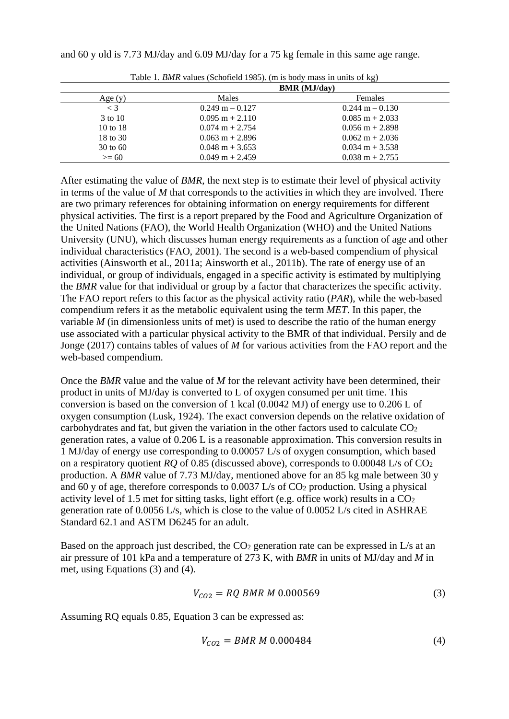and 60 y old is 7.73 MJ/day and 6.09 MJ/day for a 75 kg female in this same age range.

|                     | BMR (MJ/day)              |                           |  |  |  |
|---------------------|---------------------------|---------------------------|--|--|--|
| Age(y)              | <b>Males</b>              | <b>Females</b>            |  |  |  |
| $\langle 3 \rangle$ | $0.249$ m $- 0.127$       | $0.244$ m $- 0.130$       |  |  |  |
| 3 to 10             | $0.095 \text{ m} + 2.110$ | $0.085 \text{ m} + 2.033$ |  |  |  |
| $10 \text{ to } 18$ | $0.074 \text{ m} + 2.754$ | $0.056$ m $+ 2.898$       |  |  |  |
| 18 to 30            | $0.063 \text{ m} + 2.896$ | $0.062 \text{ m} + 2.036$ |  |  |  |
| $30 \text{ to } 60$ | $0.048 \text{ m} + 3.653$ | $0.034 \text{ m} + 3.538$ |  |  |  |
| $>= 60$             | $0.049 \text{ m} + 2.459$ | $0.038 \text{ m} + 2.755$ |  |  |  |

Table 1. *BMR* values (Schofield 1985). (m is body mass in units of kg)

After estimating the value of *BMR*, the next step is to estimate their level of physical activity in terms of the value of *M* that corresponds to the activities in which they are involved. There are two primary references for obtaining information on energy requirements for different physical activities. The first is a report prepared by the Food and Agriculture Organization of the United Nations (FAO), the World Health Organization (WHO) and the United Nations University (UNU), which discusses human energy requirements as a function of age and other individual characteristics (FAO, 2001). The second is a web-based compendium of physical activities (Ainsworth et al., 2011a; Ainsworth et al., 2011b). The rate of energy use of an individual, or group of individuals, engaged in a specific activity is estimated by multiplying the *BMR* value for that individual or group by a factor that characterizes the specific activity. The FAO report refers to this factor as the physical activity ratio (*PAR*), while the web-based compendium refers it as the metabolic equivalent using the term *MET*. In this paper, the variable *M* (in dimensionless units of met) is used to describe the ratio of the human energy use associated with a particular physical activity to the BMR of that individual. Persily and de Jonge (2017) contains tables of values of *M* for various activities from the FAO report and the web-based compendium.

Once the *BMR* value and the value of *M* for the relevant activity have been determined, their product in units of MJ/day is converted to L of oxygen consumed per unit time. This conversion is based on the conversion of 1 kcal (0.0042 MJ) of energy use to 0.206 L of oxygen consumption (Lusk, 1924). The exact conversion depends on the relative oxidation of carbohydrates and fat, but given the variation in the other factors used to calculate CO<sup>2</sup> generation rates, a value of 0.206 L is a reasonable approximation. This conversion results in 1 MJ/day of energy use corresponding to 0.00057 L/s of oxygen consumption, which based on a respiratory quotient *RQ* of 0.85 (discussed above), corresponds to 0.00048 L/s of CO<sup>2</sup> production. A *BMR* value of 7.73 MJ/day, mentioned above for an 85 kg male between 30 y and 60 y of age, therefore corresponds to  $0.0037$  L/s of  $CO<sub>2</sub>$  production. Using a physical activity level of 1.5 met for sitting tasks, light effort (e.g. office work) results in a CO<sup>2</sup> generation rate of 0.0056 L/s, which is close to the value of 0.0052 L/s cited in ASHRAE Standard 62.1 and ASTM D6245 for an adult.

Based on the approach just described, the  $CO<sub>2</sub>$  generation rate can be expressed in L/s at an air pressure of 101 kPa and a temperature of 273 K, with *BMR* in units of MJ/day and *M* in met, using Equations (3) and (4).

$$
V_{CO2} = RQ \, BMR \, M \, 0.000569 \tag{3}
$$

Assuming RQ equals 0.85, Equation 3 can be expressed as:

$$
V_{CO2} = BMR \ M \ 0.000484 \tag{4}
$$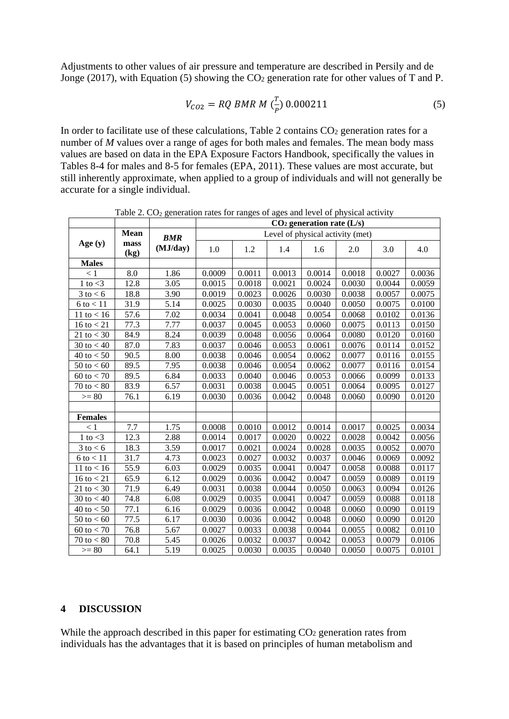Adjustments to other values of air pressure and temperature are described in Persily and de Jonge (2017), with Equation (5) showing the  $CO<sub>2</sub>$  generation rate for other values of T and P.

$$
V_{CO2} = RQ \, BMR \, M \, \left(\frac{T}{P}\right) \, 0.000211 \tag{5}
$$

In order to facilitate use of these calculations, Table 2 contains  $CO<sub>2</sub>$  generation rates for a number of *M* values over a range of ages for both males and females. The mean body mass values are based on data in the EPA Exposure Factors Handbook, specifically the values in Tables 8-4 for males and 8-5 for females (EPA, 2011). These values are most accurate, but still inherently approximate, when applied to a group of individuals and will not generally be accurate for a single individual.

|                       |              |            | $CO2$ generation rate (L/s)      |        |        |        |        |        |        |  |
|-----------------------|--------------|------------|----------------------------------|--------|--------|--------|--------|--------|--------|--|
|                       | <b>Mean</b>  | <b>BMR</b> | Level of physical activity (met) |        |        |        |        |        |        |  |
| Age $(y)$             | mass<br>(kg) | (MJ/day)   | 1.0                              | 1.2    | 1.4    | 1.6    | 2.0    | 3.0    | 4.0    |  |
| <b>Males</b>          |              |            |                                  |        |        |        |        |        |        |  |
| < 1                   | 8.0          | 1.86       | 0.0009                           | 0.0011 | 0.0013 | 0.0014 | 0.0018 | 0.0027 | 0.0036 |  |
| 1 to $<$ 3            | 12.8         | 3.05       | 0.0015                           | 0.0018 | 0.0021 | 0.0024 | 0.0030 | 0.0044 | 0.0059 |  |
| $3$ to $< 6$          | 18.8         | 3.90       | 0.0019                           | 0.0023 | 0.0026 | 0.0030 | 0.0038 | 0.0057 | 0.0075 |  |
| $6$ to $<$ 11         | 31.9         | 5.14       | 0.0025                           | 0.0030 | 0.0035 | 0.0040 | 0.0050 | 0.0075 | 0.0100 |  |
| 11 to $< 16$          | 57.6         | 7.02       | 0.0034                           | 0.0041 | 0.0048 | 0.0054 | 0.0068 | 0.0102 | 0.0136 |  |
| 16 to $<$ 21          | 77.3         | 7.77       | 0.0037                           | 0.0045 | 0.0053 | 0.0060 | 0.0075 | 0.0113 | 0.0150 |  |
| 21 to $<$ 30          | 84.9         | 8.24       | 0.0039                           | 0.0048 | 0.0056 | 0.0064 | 0.0080 | 0.0120 | 0.0160 |  |
| 30 to $< 40$          | 87.0         | 7.83       | 0.0037                           | 0.0046 | 0.0053 | 0.0061 | 0.0076 | 0.0114 | 0.0152 |  |
| 40 to $< 50$          | 90.5         | 8.00       | 0.0038                           | 0.0046 | 0.0054 | 0.0062 | 0.0077 | 0.0116 | 0.0155 |  |
| 50 to $< 60$          | 89.5         | 7.95       | 0.0038                           | 0.0046 | 0.0054 | 0.0062 | 0.0077 | 0.0116 | 0.0154 |  |
| $60 \text{ to } < 70$ | 89.5         | 6.84       | 0.0033                           | 0.0040 | 0.0046 | 0.0053 | 0.0066 | 0.0099 | 0.0133 |  |
| $70$ to $< 80$        | 83.9         | 6.57       | 0.0031                           | 0.0038 | 0.0045 | 0.0051 | 0.0064 | 0.0095 | 0.0127 |  |
| $>= 80$               | 76.1         | 6.19       | 0.0030                           | 0.0036 | 0.0042 | 0.0048 | 0.0060 | 0.0090 | 0.0120 |  |
|                       |              |            |                                  |        |        |        |        |        |        |  |
| <b>Females</b>        |              |            |                                  |        |        |        |        |        |        |  |
| < 1                   | 7.7          | 1.75       | 0.0008                           | 0.0010 | 0.0012 | 0.0014 | 0.0017 | 0.0025 | 0.0034 |  |
| 1 to $<$ 3            | 12.3         | 2.88       | 0.0014                           | 0.0017 | 0.0020 | 0.0022 | 0.0028 | 0.0042 | 0.0056 |  |
| $3$ to $< 6$          | 18.3         | 3.59       | 0.0017                           | 0.0021 | 0.0024 | 0.0028 | 0.0035 | 0.0052 | 0.0070 |  |
| $6$ to $< 11$         | 31.7         | 4.73       | 0.0023                           | 0.0027 | 0.0032 | 0.0037 | 0.0046 | 0.0069 | 0.0092 |  |
| 11 to $< 16$          | 55.9         | 6.03       | 0.0029                           | 0.0035 | 0.0041 | 0.0047 | 0.0058 | 0.0088 | 0.0117 |  |
| 16 to $<$ 21          | 65.9         | 6.12       | 0.0029                           | 0.0036 | 0.0042 | 0.0047 | 0.0059 | 0.0089 | 0.0119 |  |
| 21 to $<$ 30          | 71.9         | 6.49       | 0.0031                           | 0.0038 | 0.0044 | 0.0050 | 0.0063 | 0.0094 | 0.0126 |  |
| 30 to $< 40$          | 74.8         | 6.08       | 0.0029                           | 0.0035 | 0.0041 | 0.0047 | 0.0059 | 0.0088 | 0.0118 |  |
| 40 to $< 50$          | 77.1         | 6.16       | 0.0029                           | 0.0036 | 0.0042 | 0.0048 | 0.0060 | 0.0090 | 0.0119 |  |
| $50 \text{ to } < 60$ | 77.5         | 6.17       | 0.0030                           | 0.0036 | 0.0042 | 0.0048 | 0.0060 | 0.0090 | 0.0120 |  |
| $60 \text{ to } < 70$ | 76.8         | 5.67       | 0.0027                           | 0.0033 | 0.0038 | 0.0044 | 0.0055 | 0.0082 | 0.0110 |  |
| 70 to $< 80$          | 70.8         | 5.45       | 0.0026                           | 0.0032 | 0.0037 | 0.0042 | 0.0053 | 0.0079 | 0.0106 |  |
| $>= 80$               | 64.1         | 5.19       | 0.0025                           | 0.0030 | 0.0035 | 0.0040 | 0.0050 | 0.0075 | 0.0101 |  |

Table 2.  $CO<sub>2</sub>$  generation rates for ranges of ages and level of physical activity

#### **4 DISCUSSION**

While the approach described in this paper for estimating  $CO<sub>2</sub>$  generation rates from individuals has the advantages that it is based on principles of human metabolism and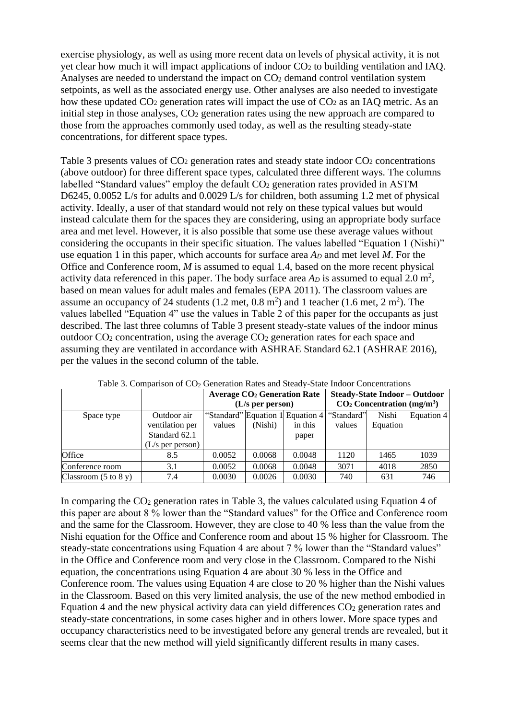exercise physiology, as well as using more recent data on levels of physical activity, it is not yet clear how much it will impact applications of indoor CO<sup>2</sup> to building ventilation and IAQ. Analyses are needed to understand the impact on  $CO<sub>2</sub>$  demand control ventilation system setpoints, as well as the associated energy use. Other analyses are also needed to investigate how these updated CO<sub>2</sub> generation rates will impact the use of CO<sub>2</sub> as an IAQ metric. As an initial step in those analyses,  $CO<sub>2</sub>$  generation rates using the new approach are compared to those from the approaches commonly used today, as well as the resulting steady-state concentrations, for different space types.

Table 3 presents values of  $CO<sub>2</sub>$  generation rates and steady state indoor  $CO<sub>2</sub>$  concentrations (above outdoor) for three different space types, calculated three different ways. The columns labelled "Standard values" employ the default CO<sub>2</sub> generation rates provided in ASTM D6245, 0.0052 L/s for adults and 0.0029 L/s for children, both assuming 1.2 met of physical activity. Ideally, a user of that standard would not rely on these typical values but would instead calculate them for the spaces they are considering, using an appropriate body surface area and met level. However, it is also possible that some use these average values without considering the occupants in their specific situation. The values labelled "Equation 1 (Nishi)" use equation 1 in this paper, which accounts for surface area *A<sup>D</sup>* and met level *M*. For the Office and Conference room, *M* is assumed to equal 1.4, based on the more recent physical activity data referenced in this paper. The body surface area  $A_D$  is assumed to equal 2.0 m<sup>2</sup>, based on mean values for adult males and females (EPA 2011). The classroom values are assume an occupancy of 24 students  $(1.2 \text{ met}, 0.8 \text{ m}^2)$  and 1 teacher  $(1.6 \text{ met}, 2 \text{ m}^2)$ . The values labelled "Equation 4" use the values in Table 2 of this paper for the occupants as just described. The last three columns of Table 3 present steady-state values of the indoor minus outdoor  $CO<sub>2</sub>$  concentration, using the average  $CO<sub>2</sub>$  generation rates for each space and assuming they are ventilated in accordance with ASHRAE Standard 62.1 (ASHRAE 2016), per the values in the second column of the table.

|                                         |                                                                       | <b>Average CO<sub>2</sub></b> Generation Rate<br>$(L/s$ per person) |         |                                                      | <b>Steady-State Indoor - Outdoor</b><br>$CO2$ Concentration (mg/m <sup>3</sup> ) |                   |            |  |
|-----------------------------------------|-----------------------------------------------------------------------|---------------------------------------------------------------------|---------|------------------------------------------------------|----------------------------------------------------------------------------------|-------------------|------------|--|
| Space type                              | Outdoor air<br>ventilation per<br>Standard 62.1<br>$(L/s$ per person) | values                                                              | (Nishi) | "Standard" Equation 1 Equation 4<br>in this<br>paper | "Standard"<br>values                                                             | Nishi<br>Equation | Equation 4 |  |
| Office                                  | 8.5                                                                   | 0.0052                                                              | 0.0068  | 0.0048                                               | 1120                                                                             | 1465              | 1039       |  |
| Conference room                         | 3.1                                                                   | 0.0052                                                              | 0.0068  | 0.0048                                               | 3071                                                                             | 4018              | 2850       |  |
| Classroom $(5 \text{ to } 8 \text{ y})$ | 7.4                                                                   | 0.0030                                                              | 0.0026  | 0.0030                                               | 740                                                                              | 631               | 746        |  |

Table 3. Comparison of  $CO<sub>2</sub>$  Generation Rates and Steady-State Indoor Concentrations

In comparing the  $CO<sub>2</sub>$  generation rates in Table 3, the values calculated using Equation 4 of this paper are about 8 % lower than the "Standard values" for the Office and Conference room and the same for the Classroom. However, they are close to 40 % less than the value from the Nishi equation for the Office and Conference room and about 15 % higher for Classroom. The steady-state concentrations using Equation 4 are about 7 % lower than the "Standard values" in the Office and Conference room and very close in the Classroom. Compared to the Nishi equation, the concentrations using Equation 4 are about 30 % less in the Office and Conference room. The values using Equation 4 are close to 20 % higher than the Nishi values in the Classroom. Based on this very limited analysis, the use of the new method embodied in Equation 4 and the new physical activity data can yield differences  $CO<sub>2</sub>$  generation rates and steady-state concentrations, in some cases higher and in others lower. More space types and occupancy characteristics need to be investigated before any general trends are revealed, but it seems clear that the new method will yield significantly different results in many cases.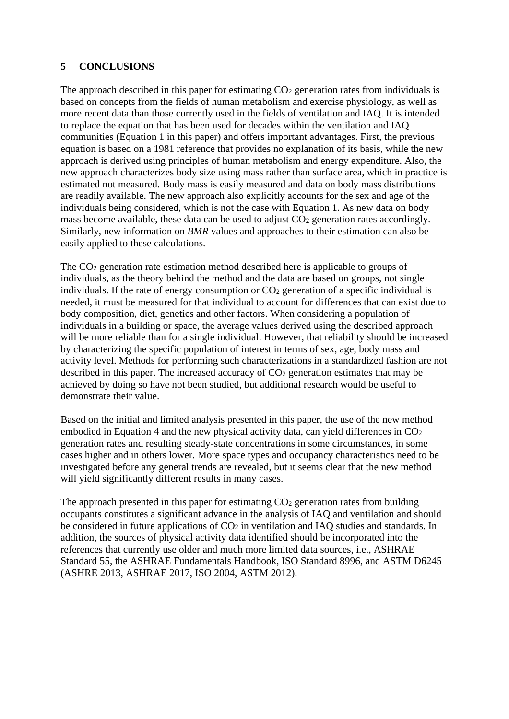## **5 CONCLUSIONS**

The approach described in this paper for estimating CO<sub>2</sub> generation rates from individuals is based on concepts from the fields of human metabolism and exercise physiology, as well as more recent data than those currently used in the fields of ventilation and IAQ. It is intended to replace the equation that has been used for decades within the ventilation and IAQ communities (Equation 1 in this paper) and offers important advantages. First, the previous equation is based on a 1981 reference that provides no explanation of its basis, while the new approach is derived using principles of human metabolism and energy expenditure. Also, the new approach characterizes body size using mass rather than surface area, which in practice is estimated not measured. Body mass is easily measured and data on body mass distributions are readily available. The new approach also explicitly accounts for the sex and age of the individuals being considered, which is not the case with Equation 1. As new data on body mass become available, these data can be used to adjust CO<sub>2</sub> generation rates accordingly. Similarly, new information on *BMR* values and approaches to their estimation can also be easily applied to these calculations.

The CO<sup>2</sup> generation rate estimation method described here is applicable to groups of individuals, as the theory behind the method and the data are based on groups, not single individuals. If the rate of energy consumption or  $CO<sub>2</sub>$  generation of a specific individual is needed, it must be measured for that individual to account for differences that can exist due to body composition, diet, genetics and other factors. When considering a population of individuals in a building or space, the average values derived using the described approach will be more reliable than for a single individual. However, that reliability should be increased by characterizing the specific population of interest in terms of sex, age, body mass and activity level. Methods for performing such characterizations in a standardized fashion are not described in this paper. The increased accuracy of  $CO<sub>2</sub>$  generation estimates that may be achieved by doing so have not been studied, but additional research would be useful to demonstrate their value.

Based on the initial and limited analysis presented in this paper, the use of the new method embodied in Equation 4 and the new physical activity data, can yield differences in CO<sub>2</sub> generation rates and resulting steady-state concentrations in some circumstances, in some cases higher and in others lower. More space types and occupancy characteristics need to be investigated before any general trends are revealed, but it seems clear that the new method will yield significantly different results in many cases.

The approach presented in this paper for estimating  $CO<sub>2</sub>$  generation rates from building occupants constitutes a significant advance in the analysis of IAQ and ventilation and should be considered in future applications of  $CO<sub>2</sub>$  in ventilation and IAQ studies and standards. In addition, the sources of physical activity data identified should be incorporated into the references that currently use older and much more limited data sources, i.e., ASHRAE Standard 55, the ASHRAE Fundamentals Handbook, ISO Standard 8996, and ASTM D6245 (ASHRE 2013, ASHRAE 2017, ISO 2004, ASTM 2012).